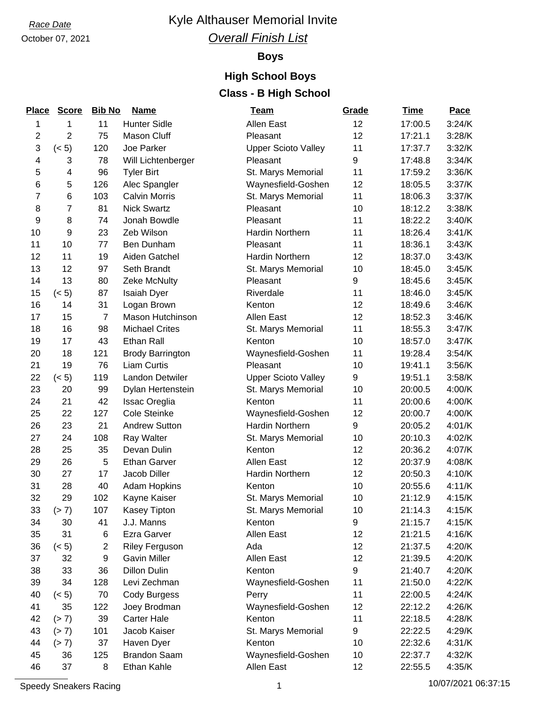# October 07, 2021

### **Race Date Race Date Race Date Race Date Race Date Race Date Race Date Race 2013** *Overall Finish List*

#### **Boys**

### **High School Boys Class - B High School**

| <b>Place</b> | <b>Score</b>   | <b>Bib No</b>  | <b>Name</b>             | <u>Team</u>                | Grade | <b>Time</b> | <b>Pace</b> |
|--------------|----------------|----------------|-------------------------|----------------------------|-------|-------------|-------------|
| 1            | 1              | 11             | <b>Hunter Sidle</b>     | Allen East                 | 12    | 17:00.5     | 3:24/K      |
| $\mathbf{2}$ | $\overline{2}$ | 75             | Mason Cluff             | Pleasant                   | 12    | 17:21.1     | 3:28/K      |
| 3            | (< 5)          | 120            | Joe Parker              | <b>Upper Scioto Valley</b> | 11    | 17:37.7     | 3:32/K      |
| 4            | 3              | 78             | Will Lichtenberger      | Pleasant                   | 9     | 17:48.8     | 3:34/K      |
| 5            | 4              | 96             | <b>Tyler Birt</b>       | St. Marys Memorial         | 11    | 17:59.2     | 3:36/K      |
| $\,6$        | 5              | 126            | Alec Spangler           | Waynesfield-Goshen         | 12    | 18:05.5     | 3:37/K      |
| 7            | 6              | 103            | <b>Calvin Morris</b>    | St. Marys Memorial         | 11    | 18:06.3     | 3:37/K      |
| 8            | $\overline{7}$ | 81             | <b>Nick Swartz</b>      | Pleasant                   | 10    | 18:12.2     | 3:38/K      |
| 9            | 8              | 74             | Jonah Bowdle            | Pleasant                   | 11    | 18:22.2     | 3:40/K      |
| 10           | 9              | 23             | Zeb Wilson              | Hardin Northern            | 11    | 18:26.4     | 3:41/K      |
| 11           | 10             | 77             | Ben Dunham              | Pleasant                   | 11    | 18:36.1     | 3:43/K      |
| 12           | 11             | 19             | Aiden Gatchel           | <b>Hardin Northern</b>     | 12    | 18:37.0     | 3:43/K      |
| 13           | 12             | 97             | Seth Brandt             | St. Marys Memorial         | 10    | 18:45.0     | 3:45/K      |
| 14           | 13             | 80             | Zeke McNulty            | Pleasant                   | 9     | 18:45.6     | 3:45/K      |
| 15           | (< 5)          | 87             | Isaiah Dyer             | Riverdale                  | 11    | 18:46.0     | 3:45/K      |
| 16           | 14             | 31             | Logan Brown             | Kenton                     | 12    | 18:49.6     | 3:46/K      |
| 17           | 15             | $\overline{7}$ | <b>Mason Hutchinson</b> | Allen East                 | 12    | 18:52.3     | 3:46/K      |
| 18           | 16             | 98             | <b>Michael Crites</b>   | St. Marys Memorial         | 11    | 18:55.3     | 3:47/K      |
| 19           | 17             | 43             | Ethan Rall              | Kenton                     | 10    | 18:57.0     | 3:47/K      |
| 20           | 18             | 121            | <b>Brody Barrington</b> | Waynesfield-Goshen         | 11    | 19:28.4     | 3:54/K      |
| 21           | 19             | 76             | <b>Liam Curtis</b>      | Pleasant                   | 10    | 19:41.1     | 3:56/K      |
| 22           | (< 5)          | 119            | Landon Detwiler         | <b>Upper Scioto Valley</b> | 9     | 19:51.1     | 3:58/K      |
| 23           | 20             | 99             | Dylan Hertenstein       | St. Marys Memorial         | 10    | 20:00.5     | 4:00/K      |
| 24           | 21             | 42             | Issac Oreglia           | Kenton                     | 11    | 20:00.6     | 4:00/K      |
| 25           | 22             | 127            | <b>Cole Steinke</b>     | Waynesfield-Goshen         | 12    | 20:00.7     | 4:00/K      |
| 26           | 23             | 21             | <b>Andrew Sutton</b>    | Hardin Northern            | 9     | 20:05.2     | 4:01/K      |
| 27           | 24             | 108            | <b>Ray Walter</b>       | St. Marys Memorial         | 10    | 20:10.3     | 4:02/K      |
| 28           | 25             | 35             | Devan Dulin             | Kenton                     | 12    | 20:36.2     | 4:07/K      |
| 29           | 26             | 5              | <b>Ethan Garver</b>     | Allen East                 | 12    | 20:37.9     | 4:08/K      |
| 30           | 27             | 17             | Jacob Diller            | Hardin Northern            | 12    | 20:50.3     | 4:10/K      |
| 31           | 28             | 40             | <b>Adam Hopkins</b>     | Kenton                     | 10    | 20:55.6     | 4:11/K      |
| 32           | 29             | 102            | Kayne Kaiser            | St. Marys Memorial         | 10    | 21:12.9     | 4:15/K      |
| 33           | (> 7)          | 107            | Kasey Tipton            | St. Marys Memorial         | 10    | 21:14.3     | 4:15/K      |
| 34           | 30             | 41             | J.J. Manns              | Kenton                     | 9     | 21:15.7     | 4:15/K      |
| 35           | 31             | 6              | Ezra Garver             | Allen East                 | 12    | 21:21.5     | 4:16/K      |
| 36           | (< 5)          | $\overline{2}$ | <b>Riley Ferguson</b>   | Ada                        | 12    | 21:37.5     | 4:20/K      |
| 37           | 32             | 9              | <b>Gavin Miller</b>     | Allen East                 | 12    | 21:39.5     | 4:20/K      |
| 38           | 33             | 36             | <b>Dillon Dulin</b>     | Kenton                     | 9     | 21:40.7     | 4:20/K      |
| 39           | 34             | 128            | Levi Zechman            | Waynesfield-Goshen         | 11    | 21:50.0     | 4:22/K      |
| 40           | (< 5)          | 70             | Cody Burgess            | Perry                      | 11    | 22:00.5     | 4:24/K      |
| 41           | 35             | 122            | Joey Brodman            | Waynesfield-Goshen         | 12    | 22:12.2     | 4:26/K      |
| 42           | (> 7)          | 39             | <b>Carter Hale</b>      | Kenton                     | 11    | 22:18.5     | 4:28/K      |
| 43           | (> 7)          | 101            | Jacob Kaiser            | St. Marys Memorial         | 9     | 22:22.5     | 4:29/K      |
| 44           | (> 7)          | 37             | Haven Dyer              | Kenton                     | 10    | 22:32.6     | 4:31/K      |
| 45           | 36             | 125            | <b>Brandon Saam</b>     | Waynesfield-Goshen         | 10    | 22:37.7     | 4:32/K      |
| 46           | 37             | 8              | Ethan Kahle             | Allen East                 | 12    | 22:55.5     | 4:35/K      |